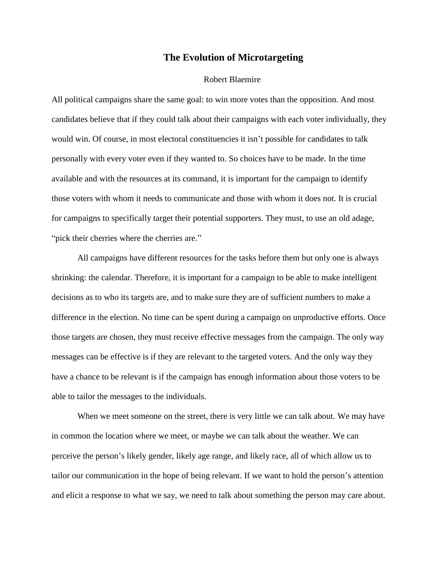# **The Evolution of Microtargeting**

# Robert Blaemire

All political campaigns share the same goal: to win more votes than the opposition. And most candidates believe that if they could talk about their campaigns with each voter individually, they would win. Of course, in most electoral constituencies it isn't possible for candidates to talk personally with every voter even if they wanted to. So choices have to be made. In the time available and with the resources at its command, it is important for the campaign to identify those voters with whom it needs to communicate and those with whom it does not. It is crucial for campaigns to specifically target their potential supporters. They must, to use an old adage, "pick their cherries where the cherries are."

All campaigns have different resources for the tasks before them but only one is always shrinking: the calendar. Therefore, it is important for a campaign to be able to make intelligent decisions as to who its targets are, and to make sure they are of sufficient numbers to make a difference in the election. No time can be spent during a campaign on unproductive efforts. Once those targets are chosen, they must receive effective messages from the campaign. The only way messages can be effective is if they are relevant to the targeted voters. And the only way they have a chance to be relevant is if the campaign has enough information about those voters to be able to tailor the messages to the individuals.

When we meet someone on the street, there is very little we can talk about. We may have in common the location where we meet, or maybe we can talk about the weather. We can perceive the person's likely gender, likely age range, and likely race, all of which allow us to tailor our communication in the hope of being relevant. If we want to hold the person's attention and elicit a response to what we say, we need to talk about something the person may care about.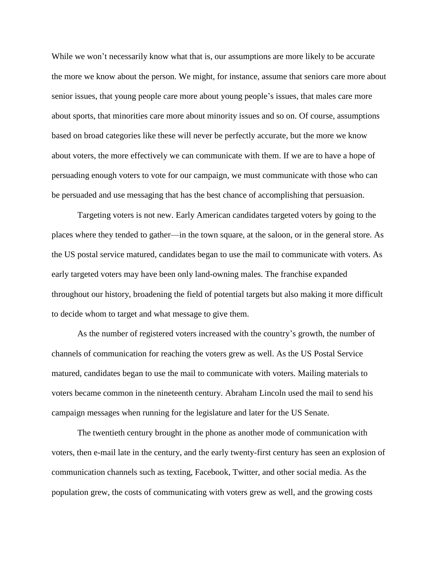While we won't necessarily know what that is, our assumptions are more likely to be accurate the more we know about the person. We might, for instance, assume that seniors care more about senior issues, that young people care more about young people's issues, that males care more about sports, that minorities care more about minority issues and so on. Of course, assumptions based on broad categories like these will never be perfectly accurate, but the more we know about voters, the more effectively we can communicate with them. If we are to have a hope of persuading enough voters to vote for our campaign, we must communicate with those who can be persuaded and use messaging that has the best chance of accomplishing that persuasion.

Targeting voters is not new. Early American candidates targeted voters by going to the places where they tended to gather—in the town square, at the saloon, or in the general store. As the US postal service matured, candidates began to use the mail to communicate with voters. As early targeted voters may have been only land-owning males. The franchise expanded throughout our history, broadening the field of potential targets but also making it more difficult to decide whom to target and what message to give them.

As the number of registered voters increased with the country's growth, the number of channels of communication for reaching the voters grew as well. As the US Postal Service matured, candidates began to use the mail to communicate with voters. Mailing materials to voters became common in the nineteenth century. Abraham Lincoln used the mail to send his campaign messages when running for the legislature and later for the US Senate.

The twentieth century brought in the phone as another mode of communication with voters, then e-mail late in the century, and the early twenty-first century has seen an explosion of communication channels such as texting, Facebook, Twitter, and other social media. As the population grew, the costs of communicating with voters grew as well, and the growing costs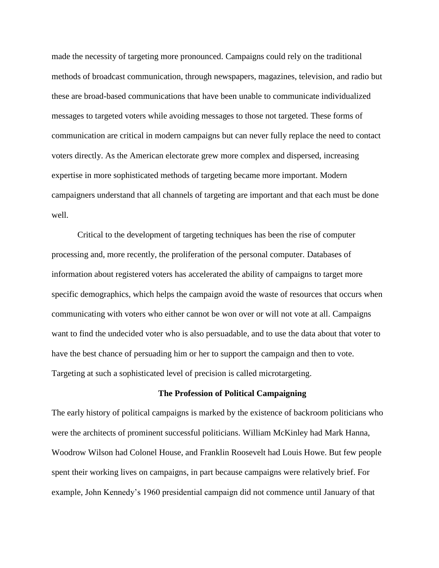made the necessity of targeting more pronounced. Campaigns could rely on the traditional methods of broadcast communication, through newspapers, magazines, television, and radio but these are broad-based communications that have been unable to communicate individualized messages to targeted voters while avoiding messages to those not targeted. These forms of communication are critical in modern campaigns but can never fully replace the need to contact voters directly. As the American electorate grew more complex and dispersed, increasing expertise in more sophisticated methods of targeting became more important. Modern campaigners understand that all channels of targeting are important and that each must be done well.

Critical to the development of targeting techniques has been the rise of computer processing and, more recently, the proliferation of the personal computer. Databases of information about registered voters has accelerated the ability of campaigns to target more specific demographics, which helps the campaign avoid the waste of resources that occurs when communicating with voters who either cannot be won over or will not vote at all. Campaigns want to find the undecided voter who is also persuadable, and to use the data about that voter to have the best chance of persuading him or her to support the campaign and then to vote. Targeting at such a sophisticated level of precision is called microtargeting.

# **The Profession of Political Campaigning**

The early history of political campaigns is marked by the existence of backroom politicians who were the architects of prominent successful politicians. William McKinley had Mark Hanna, Woodrow Wilson had Colonel House, and Franklin Roosevelt had Louis Howe. But few people spent their working lives on campaigns, in part because campaigns were relatively brief. For example, John Kennedy's 1960 presidential campaign did not commence until January of that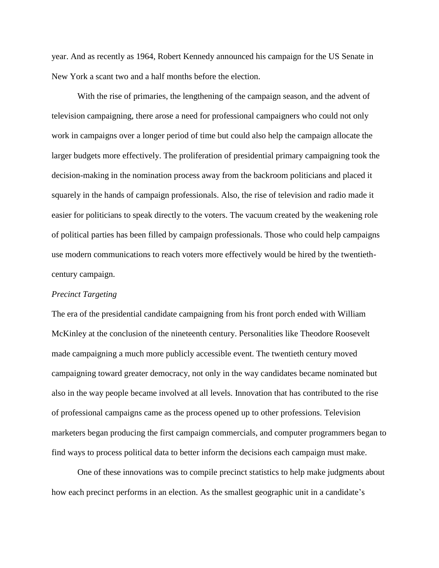year. And as recently as 1964, Robert Kennedy announced his campaign for the US Senate in New York a scant two and a half months before the election.

With the rise of primaries, the lengthening of the campaign season, and the advent of television campaigning, there arose a need for professional campaigners who could not only work in campaigns over a longer period of time but could also help the campaign allocate the larger budgets more effectively. The proliferation of presidential primary campaigning took the decision-making in the nomination process away from the backroom politicians and placed it squarely in the hands of campaign professionals. Also, the rise of television and radio made it easier for politicians to speak directly to the voters. The vacuum created by the weakening role of political parties has been filled by campaign professionals. Those who could help campaigns use modern communications to reach voters more effectively would be hired by the twentiethcentury campaign.

# *Precinct Targeting*

The era of the presidential candidate campaigning from his front porch ended with William McKinley at the conclusion of the nineteenth century. Personalities like Theodore Roosevelt made campaigning a much more publicly accessible event. The twentieth century moved campaigning toward greater democracy, not only in the way candidates became nominated but also in the way people became involved at all levels. Innovation that has contributed to the rise of professional campaigns came as the process opened up to other professions. Television marketers began producing the first campaign commercials, and computer programmers began to find ways to process political data to better inform the decisions each campaign must make.

One of these innovations was to compile precinct statistics to help make judgments about how each precinct performs in an election. As the smallest geographic unit in a candidate's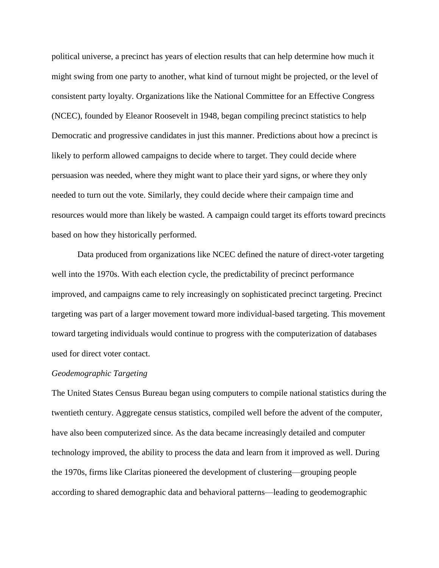political universe, a precinct has years of election results that can help determine how much it might swing from one party to another, what kind of turnout might be projected, or the level of consistent party loyalty. Organizations like the National Committee for an Effective Congress (NCEC), founded by Eleanor Roosevelt in 1948, began compiling precinct statistics to help Democratic and progressive candidates in just this manner. Predictions about how a precinct is likely to perform allowed campaigns to decide where to target. They could decide where persuasion was needed, where they might want to place their yard signs, or where they only needed to turn out the vote. Similarly, they could decide where their campaign time and resources would more than likely be wasted. A campaign could target its efforts toward precincts based on how they historically performed.

Data produced from organizations like NCEC defined the nature of direct-voter targeting well into the 1970s. With each election cycle, the predictability of precinct performance improved, and campaigns came to rely increasingly on sophisticated precinct targeting. Precinct targeting was part of a larger movement toward more individual-based targeting. This movement toward targeting individuals would continue to progress with the computerization of databases used for direct voter contact.

#### *Geodemographic Targeting*

The United States Census Bureau began using computers to compile national statistics during the twentieth century. Aggregate census statistics, compiled well before the advent of the computer, have also been computerized since. As the data became increasingly detailed and computer technology improved, the ability to process the data and learn from it improved as well. During the 1970s, firms like Claritas pioneered the development of clustering—grouping people according to shared demographic data and behavioral patterns—leading to geodemographic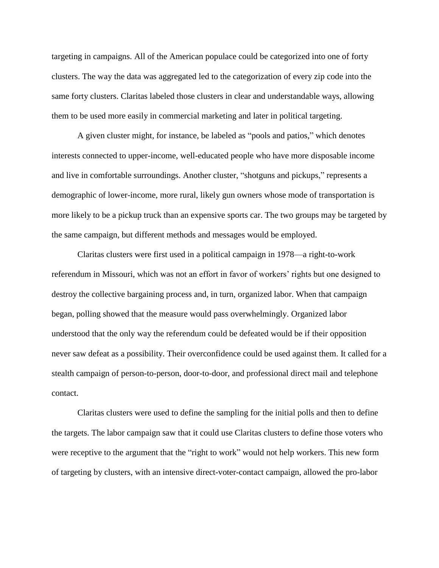targeting in campaigns. All of the American populace could be categorized into one of forty clusters. The way the data was aggregated led to the categorization of every zip code into the same forty clusters. Claritas labeled those clusters in clear and understandable ways, allowing them to be used more easily in commercial marketing and later in political targeting.

A given cluster might, for instance, be labeled as "pools and patios," which denotes interests connected to upper-income, well-educated people who have more disposable income and live in comfortable surroundings. Another cluster, "shotguns and pickups," represents a demographic of lower-income, more rural, likely gun owners whose mode of transportation is more likely to be a pickup truck than an expensive sports car. The two groups may be targeted by the same campaign, but different methods and messages would be employed.

Claritas clusters were first used in a political campaign in 1978—a right-to-work referendum in Missouri, which was not an effort in favor of workers' rights but one designed to destroy the collective bargaining process and, in turn, organized labor. When that campaign began, polling showed that the measure would pass overwhelmingly. Organized labor understood that the only way the referendum could be defeated would be if their opposition never saw defeat as a possibility. Their overconfidence could be used against them. It called for a stealth campaign of person-to-person, door-to-door, and professional direct mail and telephone contact.

Claritas clusters were used to define the sampling for the initial polls and then to define the targets. The labor campaign saw that it could use Claritas clusters to define those voters who were receptive to the argument that the "right to work" would not help workers. This new form of targeting by clusters, with an intensive direct-voter-contact campaign, allowed the pro-labor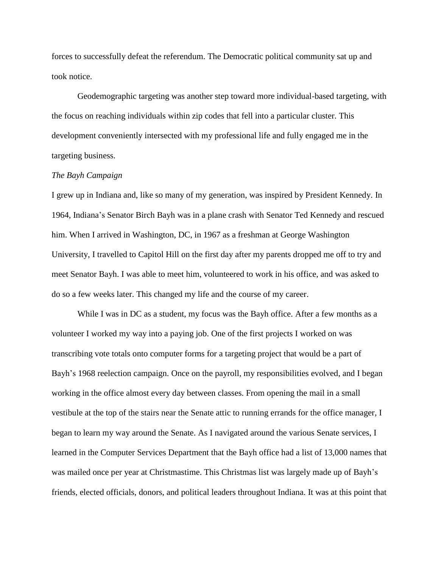forces to successfully defeat the referendum. The Democratic political community sat up and took notice.

Geodemographic targeting was another step toward more individual-based targeting, with the focus on reaching individuals within zip codes that fell into a particular cluster. This development conveniently intersected with my professional life and fully engaged me in the targeting business.

# *The Bayh Campaign*

I grew up in Indiana and, like so many of my generation, was inspired by President Kennedy. In 1964, Indiana's Senator Birch Bayh was in a plane crash with Senator Ted Kennedy and rescued him. When I arrived in Washington, DC, in 1967 as a freshman at George Washington University, I travelled to Capitol Hill on the first day after my parents dropped me off to try and meet Senator Bayh. I was able to meet him, volunteered to work in his office, and was asked to do so a few weeks later. This changed my life and the course of my career.

While I was in DC as a student, my focus was the Bayh office. After a few months as a volunteer I worked my way into a paying job. One of the first projects I worked on was transcribing vote totals onto computer forms for a targeting project that would be a part of Bayh's 1968 reelection campaign. Once on the payroll, my responsibilities evolved, and I began working in the office almost every day between classes. From opening the mail in a small vestibule at the top of the stairs near the Senate attic to running errands for the office manager, I began to learn my way around the Senate. As I navigated around the various Senate services, I learned in the Computer Services Department that the Bayh office had a list of 13,000 names that was mailed once per year at Christmastime. This Christmas list was largely made up of Bayh's friends, elected officials, donors, and political leaders throughout Indiana. It was at this point that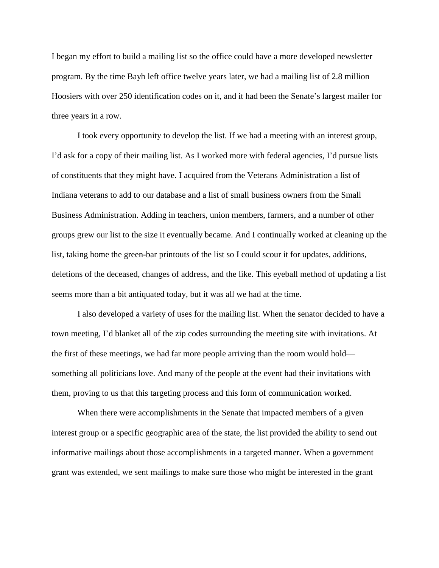I began my effort to build a mailing list so the office could have a more developed newsletter program. By the time Bayh left office twelve years later, we had a mailing list of 2.8 million Hoosiers with over 250 identification codes on it, and it had been the Senate's largest mailer for three years in a row.

I took every opportunity to develop the list. If we had a meeting with an interest group, I'd ask for a copy of their mailing list. As I worked more with federal agencies, I'd pursue lists of constituents that they might have. I acquired from the Veterans Administration a list of Indiana veterans to add to our database and a list of small business owners from the Small Business Administration. Adding in teachers, union members, farmers, and a number of other groups grew our list to the size it eventually became. And I continually worked at cleaning up the list, taking home the green-bar printouts of the list so I could scour it for updates, additions, deletions of the deceased, changes of address, and the like. This eyeball method of updating a list seems more than a bit antiquated today, but it was all we had at the time.

I also developed a variety of uses for the mailing list. When the senator decided to have a town meeting, I'd blanket all of the zip codes surrounding the meeting site with invitations. At the first of these meetings, we had far more people arriving than the room would hold something all politicians love. And many of the people at the event had their invitations with them, proving to us that this targeting process and this form of communication worked.

When there were accomplishments in the Senate that impacted members of a given interest group or a specific geographic area of the state, the list provided the ability to send out informative mailings about those accomplishments in a targeted manner. When a government grant was extended, we sent mailings to make sure those who might be interested in the grant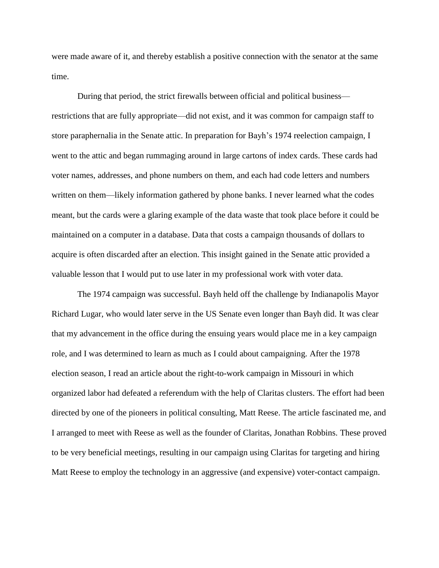were made aware of it, and thereby establish a positive connection with the senator at the same time.

During that period, the strict firewalls between official and political business restrictions that are fully appropriate—did not exist, and it was common for campaign staff to store paraphernalia in the Senate attic. In preparation for Bayh's 1974 reelection campaign, I went to the attic and began rummaging around in large cartons of index cards. These cards had voter names, addresses, and phone numbers on them, and each had code letters and numbers written on them—likely information gathered by phone banks. I never learned what the codes meant, but the cards were a glaring example of the data waste that took place before it could be maintained on a computer in a database. Data that costs a campaign thousands of dollars to acquire is often discarded after an election. This insight gained in the Senate attic provided a valuable lesson that I would put to use later in my professional work with voter data.

The 1974 campaign was successful. Bayh held off the challenge by Indianapolis Mayor Richard Lugar, who would later serve in the US Senate even longer than Bayh did. It was clear that my advancement in the office during the ensuing years would place me in a key campaign role, and I was determined to learn as much as I could about campaigning. After the 1978 election season, I read an article about the right-to-work campaign in Missouri in which organized labor had defeated a referendum with the help of Claritas clusters. The effort had been directed by one of the pioneers in political consulting, Matt Reese. The article fascinated me, and I arranged to meet with Reese as well as the founder of Claritas, Jonathan Robbins. These proved to be very beneficial meetings, resulting in our campaign using Claritas for targeting and hiring Matt Reese to employ the technology in an aggressive (and expensive) voter-contact campaign.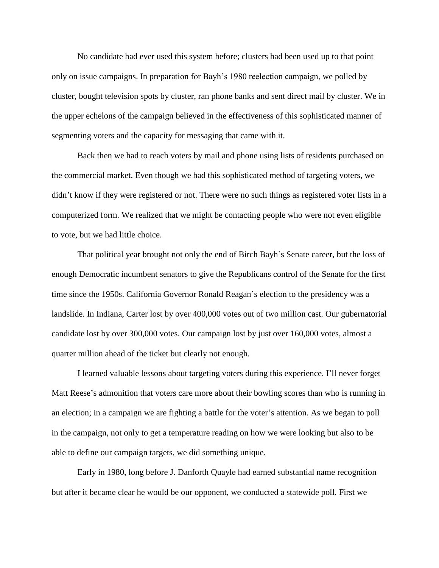No candidate had ever used this system before; clusters had been used up to that point only on issue campaigns. In preparation for Bayh's 1980 reelection campaign, we polled by cluster, bought television spots by cluster, ran phone banks and sent direct mail by cluster. We in the upper echelons of the campaign believed in the effectiveness of this sophisticated manner of segmenting voters and the capacity for messaging that came with it.

Back then we had to reach voters by mail and phone using lists of residents purchased on the commercial market. Even though we had this sophisticated method of targeting voters, we didn't know if they were registered or not. There were no such things as registered voter lists in a computerized form. We realized that we might be contacting people who were not even eligible to vote, but we had little choice.

That political year brought not only the end of Birch Bayh's Senate career, but the loss of enough Democratic incumbent senators to give the Republicans control of the Senate for the first time since the 1950s. California Governor Ronald Reagan's election to the presidency was a landslide. In Indiana, Carter lost by over 400,000 votes out of two million cast. Our gubernatorial candidate lost by over 300,000 votes. Our campaign lost by just over 160,000 votes, almost a quarter million ahead of the ticket but clearly not enough.

I learned valuable lessons about targeting voters during this experience. I'll never forget Matt Reese's admonition that voters care more about their bowling scores than who is running in an election; in a campaign we are fighting a battle for the voter's attention. As we began to poll in the campaign, not only to get a temperature reading on how we were looking but also to be able to define our campaign targets, we did something unique.

Early in 1980, long before J. Danforth Quayle had earned substantial name recognition but after it became clear he would be our opponent, we conducted a statewide poll. First we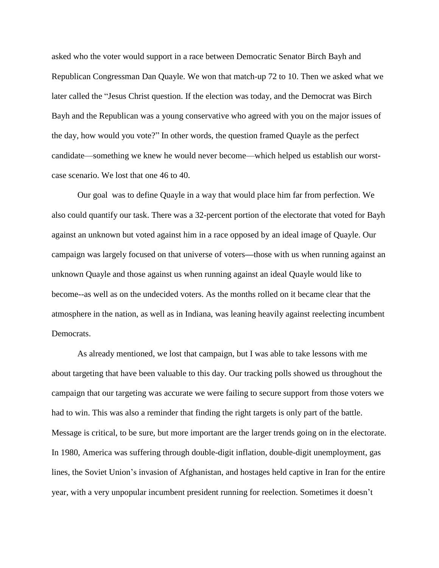asked who the voter would support in a race between Democratic Senator Birch Bayh and Republican Congressman Dan Quayle. We won that match-up 72 to 10. Then we asked what we later called the "Jesus Christ question. If the election was today, and the Democrat was Birch Bayh and the Republican was a young conservative who agreed with you on the major issues of the day, how would you vote?" In other words, the question framed Quayle as the perfect candidate—something we knew he would never become—which helped us establish our worstcase scenario. We lost that one 46 to 40.

Our goal was to define Quayle in a way that would place him far from perfection. We also could quantify our task. There was a 32-percent portion of the electorate that voted for Bayh against an unknown but voted against him in a race opposed by an ideal image of Quayle. Our campaign was largely focused on that universe of voters**—**those with us when running against an unknown Quayle and those against us when running against an ideal Quayle would like to become--as well as on the undecided voters. As the months rolled on it became clear that the atmosphere in the nation, as well as in Indiana, was leaning heavily against reelecting incumbent Democrats.

As already mentioned, we lost that campaign, but I was able to take lessons with me about targeting that have been valuable to this day. Our tracking polls showed us throughout the campaign that our targeting was accurate we were failing to secure support from those voters we had to win. This was also a reminder that finding the right targets is only part of the battle. Message is critical, to be sure, but more important are the larger trends going on in the electorate. In 1980, America was suffering through double-digit inflation, double-digit unemployment, gas lines, the Soviet Union's invasion of Afghanistan, and hostages held captive in Iran for the entire year, with a very unpopular incumbent president running for reelection. Sometimes it doesn't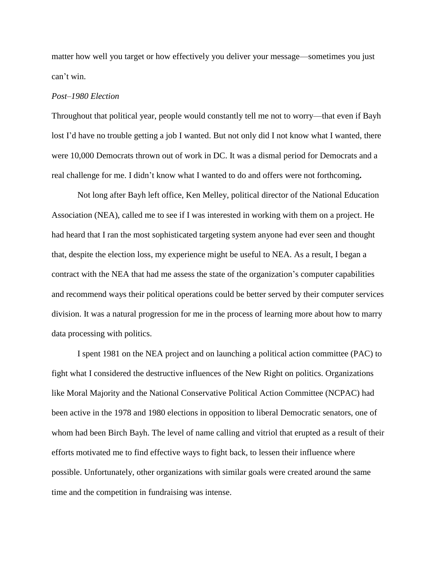matter how well you target or how effectively you deliver your message—sometimes you just can't win.

#### *Post–1980 Election*

Throughout that political year, people would constantly tell me not to worry—that even if Bayh lost I'd have no trouble getting a job I wanted. But not only did I not know what I wanted, there were 10,000 Democrats thrown out of work in DC. It was a dismal period for Democrats and a real challenge for me. I didn't know what I wanted to do and offers were not forthcoming**.**

Not long after Bayh left office, Ken Melley, political director of the National Education Association (NEA), called me to see if I was interested in working with them on a project. He had heard that I ran the most sophisticated targeting system anyone had ever seen and thought that, despite the election loss, my experience might be useful to NEA. As a result, I began a contract with the NEA that had me assess the state of the organization's computer capabilities and recommend ways their political operations could be better served by their computer services division. It was a natural progression for me in the process of learning more about how to marry data processing with politics.

I spent 1981 on the NEA project and on launching a political action committee (PAC) to fight what I considered the destructive influences of the New Right on politics. Organizations like Moral Majority and the National Conservative Political Action Committee (NCPAC) had been active in the 1978 and 1980 elections in opposition to liberal Democratic senators, one of whom had been Birch Bayh. The level of name calling and vitriol that erupted as a result of their efforts motivated me to find effective ways to fight back, to lessen their influence where possible. Unfortunately, other organizations with similar goals were created around the same time and the competition in fundraising was intense.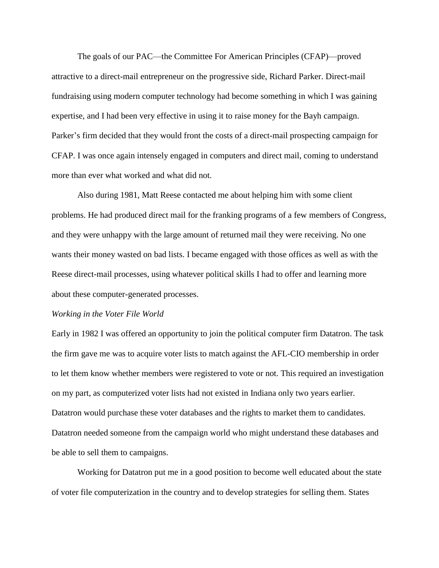The goals of our PAC—the Committee For American Principles (CFAP)—proved attractive to a direct-mail entrepreneur on the progressive side, Richard Parker. Direct-mail fundraising using modern computer technology had become something in which I was gaining expertise, and I had been very effective in using it to raise money for the Bayh campaign. Parker's firm decided that they would front the costs of a direct-mail prospecting campaign for CFAP. I was once again intensely engaged in computers and direct mail, coming to understand more than ever what worked and what did not.

Also during 1981, Matt Reese contacted me about helping him with some client problems. He had produced direct mail for the franking programs of a few members of Congress, and they were unhappy with the large amount of returned mail they were receiving. No one wants their money wasted on bad lists. I became engaged with those offices as well as with the Reese direct-mail processes, using whatever political skills I had to offer and learning more about these computer-generated processes.

#### *Working in the Voter File World*

Early in 1982 I was offered an opportunity to join the political computer firm Datatron. The task the firm gave me was to acquire voter lists to match against the AFL-CIO membership in order to let them know whether members were registered to vote or not. This required an investigation on my part, as computerized voter lists had not existed in Indiana only two years earlier. Datatron would purchase these voter databases and the rights to market them to candidates. Datatron needed someone from the campaign world who might understand these databases and be able to sell them to campaigns.

Working for Datatron put me in a good position to become well educated about the state of voter file computerization in the country and to develop strategies for selling them. States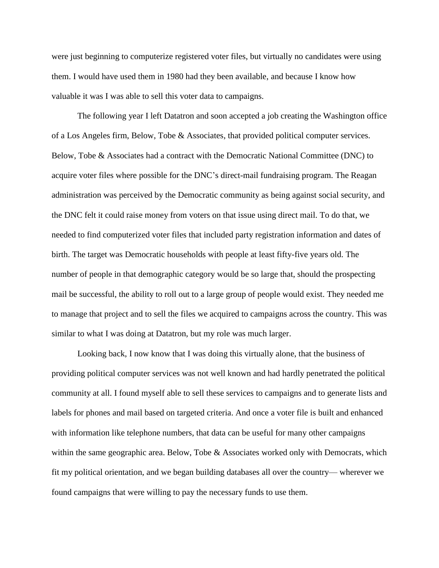were just beginning to computerize registered voter files, but virtually no candidates were using them. I would have used them in 1980 had they been available, and because I know how valuable it was I was able to sell this voter data to campaigns.

The following year I left Datatron and soon accepted a job creating the Washington office of a Los Angeles firm, Below, Tobe & Associates, that provided political computer services. Below, Tobe & Associates had a contract with the Democratic National Committee (DNC) to acquire voter files where possible for the DNC's direct-mail fundraising program. The Reagan administration was perceived by the Democratic community as being against social security, and the DNC felt it could raise money from voters on that issue using direct mail. To do that, we needed to find computerized voter files that included party registration information and dates of birth. The target was Democratic households with people at least fifty-five years old. The number of people in that demographic category would be so large that, should the prospecting mail be successful, the ability to roll out to a large group of people would exist. They needed me to manage that project and to sell the files we acquired to campaigns across the country. This was similar to what I was doing at Datatron, but my role was much larger.

Looking back, I now know that I was doing this virtually alone, that the business of providing political computer services was not well known and had hardly penetrated the political community at all. I found myself able to sell these services to campaigns and to generate lists and labels for phones and mail based on targeted criteria. And once a voter file is built and enhanced with information like telephone numbers, that data can be useful for many other campaigns within the same geographic area. Below, Tobe & Associates worked only with Democrats, which fit my political orientation, and we began building databases all over the country— wherever we found campaigns that were willing to pay the necessary funds to use them.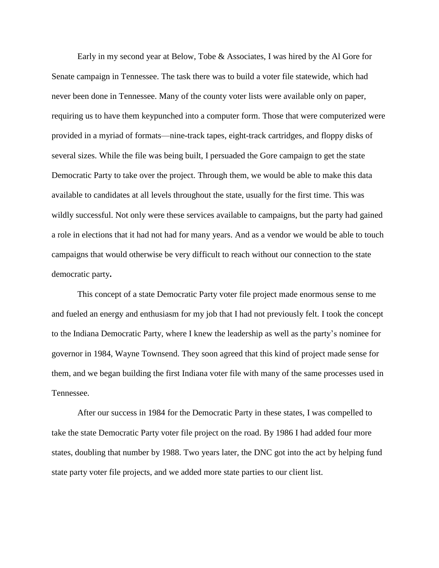Early in my second year at Below, Tobe & Associates, I was hired by the Al Gore for Senate campaign in Tennessee. The task there was to build a voter file statewide, which had never been done in Tennessee. Many of the county voter lists were available only on paper, requiring us to have them keypunched into a computer form. Those that were computerized were provided in a myriad of formats—nine-track tapes, eight-track cartridges, and floppy disks of several sizes. While the file was being built, I persuaded the Gore campaign to get the state Democratic Party to take over the project. Through them, we would be able to make this data available to candidates at all levels throughout the state, usually for the first time. This was wildly successful. Not only were these services available to campaigns, but the party had gained a role in elections that it had not had for many years. And as a vendor we would be able to touch campaigns that would otherwise be very difficult to reach without our connection to the state democratic party**.**

This concept of a state Democratic Party voter file project made enormous sense to me and fueled an energy and enthusiasm for my job that I had not previously felt. I took the concept to the Indiana Democratic Party, where I knew the leadership as well as the party's nominee for governor in 1984, Wayne Townsend. They soon agreed that this kind of project made sense for them, and we began building the first Indiana voter file with many of the same processes used in Tennessee.

After our success in 1984 for the Democratic Party in these states, I was compelled to take the state Democratic Party voter file project on the road. By 1986 I had added four more states, doubling that number by 1988. Two years later, the DNC got into the act by helping fund state party voter file projects, and we added more state parties to our client list.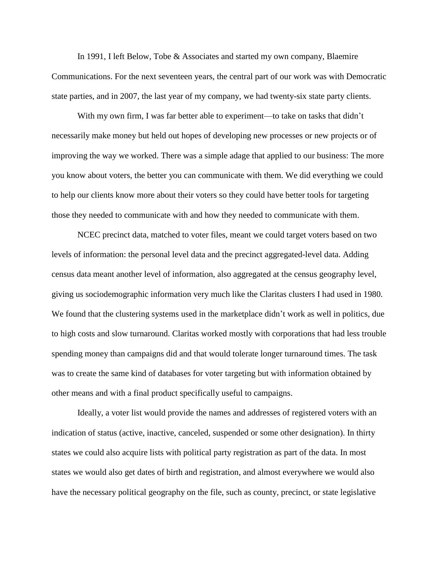In 1991, I left Below, Tobe & Associates and started my own company, Blaemire Communications. For the next seventeen years, the central part of our work was with Democratic state parties, and in 2007, the last year of my company, we had twenty-six state party clients.

With my own firm, I was far better able to experiment—to take on tasks that didn't necessarily make money but held out hopes of developing new processes or new projects or of improving the way we worked. There was a simple adage that applied to our business: The more you know about voters, the better you can communicate with them. We did everything we could to help our clients know more about their voters so they could have better tools for targeting those they needed to communicate with and how they needed to communicate with them.

NCEC precinct data, matched to voter files, meant we could target voters based on two levels of information: the personal level data and the precinct aggregated-level data. Adding census data meant another level of information, also aggregated at the census geography level, giving us sociodemographic information very much like the Claritas clusters I had used in 1980. We found that the clustering systems used in the marketplace didn't work as well in politics, due to high costs and slow turnaround. Claritas worked mostly with corporations that had less trouble spending money than campaigns did and that would tolerate longer turnaround times. The task was to create the same kind of databases for voter targeting but with information obtained by other means and with a final product specifically useful to campaigns.

Ideally, a voter list would provide the names and addresses of registered voters with an indication of status (active, inactive, canceled, suspended or some other designation). In thirty states we could also acquire lists with political party registration as part of the data. In most states we would also get dates of birth and registration, and almost everywhere we would also have the necessary political geography on the file, such as county, precinct, or state legislative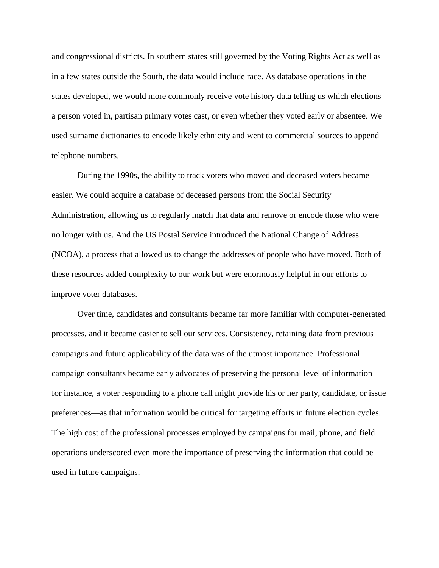and congressional districts. In southern states still governed by the Voting Rights Act as well as in a few states outside the South, the data would include race. As database operations in the states developed, we would more commonly receive vote history data telling us which elections a person voted in, partisan primary votes cast, or even whether they voted early or absentee. We used surname dictionaries to encode likely ethnicity and went to commercial sources to append telephone numbers.

During the 1990s, the ability to track voters who moved and deceased voters became easier. We could acquire a database of deceased persons from the Social Security Administration, allowing us to regularly match that data and remove or encode those who were no longer with us. And the US Postal Service introduced the National Change of Address (NCOA), a process that allowed us to change the addresses of people who have moved. Both of these resources added complexity to our work but were enormously helpful in our efforts to improve voter databases.

Over time, candidates and consultants became far more familiar with computer-generated processes, and it became easier to sell our services. Consistency, retaining data from previous campaigns and future applicability of the data was of the utmost importance. Professional campaign consultants became early advocates of preserving the personal level of information for instance, a voter responding to a phone call might provide his or her party, candidate, or issue preferences—as that information would be critical for targeting efforts in future election cycles. The high cost of the professional processes employed by campaigns for mail, phone, and field operations underscored even more the importance of preserving the information that could be used in future campaigns.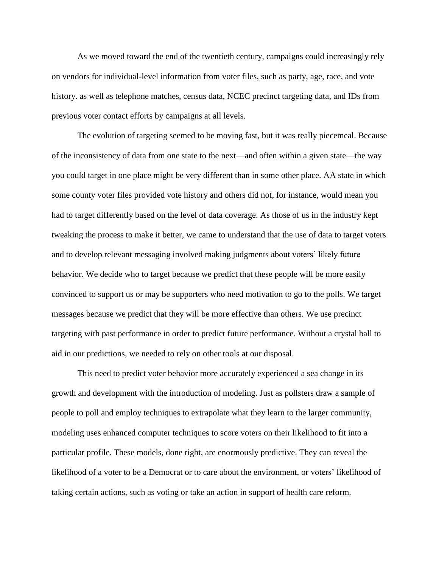As we moved toward the end of the twentieth century, campaigns could increasingly rely on vendors for individual-level information from voter files, such as party, age, race, and vote history. as well as telephone matches, census data, NCEC precinct targeting data, and IDs from previous voter contact efforts by campaigns at all levels.

The evolution of targeting seemed to be moving fast, but it was really piecemeal. Because of the inconsistency of data from one state to the next—and often within a given state—the way you could target in one place might be very different than in some other place. AA state in which some county voter files provided vote history and others did not, for instance, would mean you had to target differently based on the level of data coverage. As those of us in the industry kept tweaking the process to make it better, we came to understand that the use of data to target voters and to develop relevant messaging involved making judgments about voters' likely future behavior. We decide who to target because we predict that these people will be more easily convinced to support us or may be supporters who need motivation to go to the polls. We target messages because we predict that they will be more effective than others. We use precinct targeting with past performance in order to predict future performance. Without a crystal ball to aid in our predictions, we needed to rely on other tools at our disposal.

This need to predict voter behavior more accurately experienced a sea change in its growth and development with the introduction of modeling. Just as pollsters draw a sample of people to poll and employ techniques to extrapolate what they learn to the larger community, modeling uses enhanced computer techniques to score voters on their likelihood to fit into a particular profile. These models, done right, are enormously predictive. They can reveal the likelihood of a voter to be a Democrat or to care about the environment, or voters' likelihood of taking certain actions, such as voting or take an action in support of health care reform.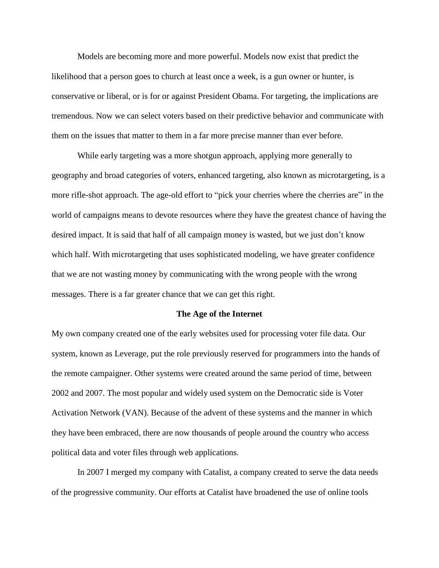Models are becoming more and more powerful. Models now exist that predict the likelihood that a person goes to church at least once a week, is a gun owner or hunter, is conservative or liberal, or is for or against President Obama. For targeting, the implications are tremendous. Now we can select voters based on their predictive behavior and communicate with them on the issues that matter to them in a far more precise manner than ever before.

While early targeting was a more shotgun approach, applying more generally to geography and broad categories of voters, enhanced targeting, also known as microtargeting, is a more rifle-shot approach. The age-old effort to "pick your cherries where the cherries are" in the world of campaigns means to devote resources where they have the greatest chance of having the desired impact. It is said that half of all campaign money is wasted, but we just don't know which half. With microtargeting that uses sophisticated modeling, we have greater confidence that we are not wasting money by communicating with the wrong people with the wrong messages. There is a far greater chance that we can get this right.

#### **The Age of the Internet**

My own company created one of the early websites used for processing voter file data. Our system, known as Leverage, put the role previously reserved for programmers into the hands of the remote campaigner. Other systems were created around the same period of time, between 2002 and 2007. The most popular and widely used system on the Democratic side is Voter Activation Network (VAN). Because of the advent of these systems and the manner in which they have been embraced, there are now thousands of people around the country who access political data and voter files through web applications.

In 2007 I merged my company with Catalist, a company created to serve the data needs of the progressive community. Our efforts at Catalist have broadened the use of online tools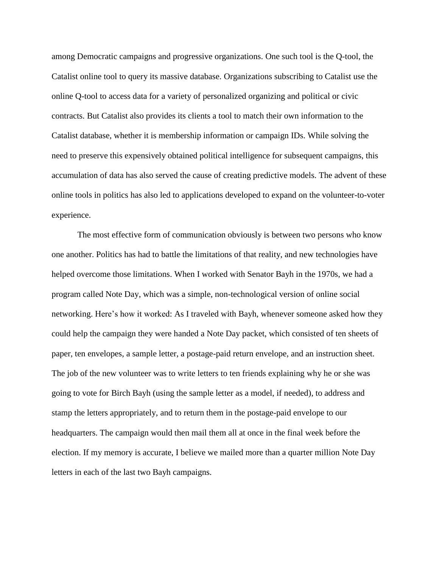among Democratic campaigns and progressive organizations. One such tool is the Q-tool, the Catalist online tool to query its massive database. Organizations subscribing to Catalist use the online Q-tool to access data for a variety of personalized organizing and political or civic contracts. But Catalist also provides its clients a tool to match their own information to the Catalist database, whether it is membership information or campaign IDs. While solving the need to preserve this expensively obtained political intelligence for subsequent campaigns, this accumulation of data has also served the cause of creating predictive models. The advent of these online tools in politics has also led to applications developed to expand on the volunteer-to-voter experience.

The most effective form of communication obviously is between two persons who know one another. Politics has had to battle the limitations of that reality, and new technologies have helped overcome those limitations. When I worked with Senator Bayh in the 1970s, we had a program called Note Day, which was a simple, non-technological version of online social networking. Here's how it worked: As I traveled with Bayh, whenever someone asked how they could help the campaign they were handed a Note Day packet, which consisted of ten sheets of paper, ten envelopes, a sample letter, a postage-paid return envelope, and an instruction sheet. The job of the new volunteer was to write letters to ten friends explaining why he or she was going to vote for Birch Bayh (using the sample letter as a model, if needed), to address and stamp the letters appropriately, and to return them in the postage-paid envelope to our headquarters. The campaign would then mail them all at once in the final week before the election. If my memory is accurate, I believe we mailed more than a quarter million Note Day letters in each of the last two Bayh campaigns.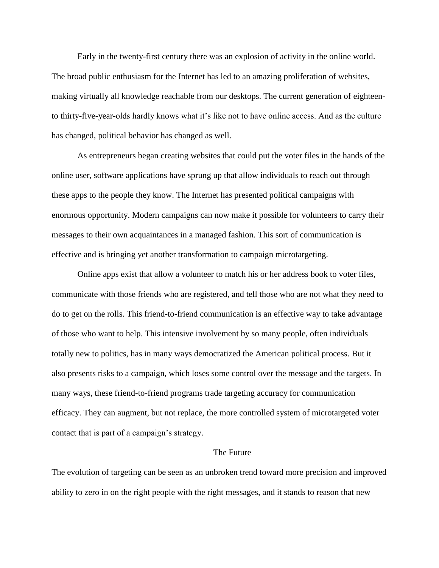Early in the twenty-first century there was an explosion of activity in the online world. The broad public enthusiasm for the Internet has led to an amazing proliferation of websites, making virtually all knowledge reachable from our desktops. The current generation of eighteento thirty-five-year-olds hardly knows what it's like not to have online access. And as the culture has changed, political behavior has changed as well.

As entrepreneurs began creating websites that could put the voter files in the hands of the online user, software applications have sprung up that allow individuals to reach out through these apps to the people they know. The Internet has presented political campaigns with enormous opportunity. Modern campaigns can now make it possible for volunteers to carry their messages to their own acquaintances in a managed fashion. This sort of communication is effective and is bringing yet another transformation to campaign microtargeting.

Online apps exist that allow a volunteer to match his or her address book to voter files, communicate with those friends who are registered, and tell those who are not what they need to do to get on the rolls. This friend-to-friend communication is an effective way to take advantage of those who want to help. This intensive involvement by so many people, often individuals totally new to politics, has in many ways democratized the American political process. But it also presents risks to a campaign, which loses some control over the message and the targets. In many ways, these friend-to-friend programs trade targeting accuracy for communication efficacy. They can augment, but not replace, the more controlled system of microtargeted voter contact that is part of a campaign's strategy.

#### The Future

The evolution of targeting can be seen as an unbroken trend toward more precision and improved ability to zero in on the right people with the right messages, and it stands to reason that new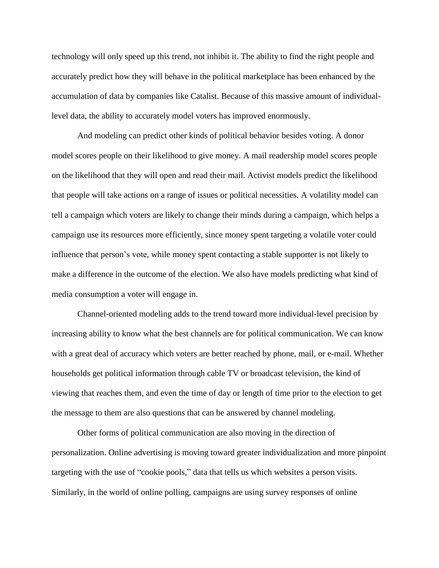technology will only speed up this trend, not inhibit it. The ability to find the right people and accurately predict how they will behave in the political marketplace has been enhanced by the accumulation of data by companies like Catalist. Because of this massive amount of individuallevel data, the ability to accurately model voters has improved enormously.

And modeling can predict other kinds of political behavior besides voting. A donor model scores people on their likelihood to give money. A mail readership model scores people on the likelihood that they will open and read their mail. Activist models predict the likelihood that people will take actions on a range of issues or political necessities. A volatility model can tell a campaign which voters are likely to change their minds during a campaign, which helps a campaign use its resources more efficiently, since money spent targeting a volatile voter could influence that person's vote, while money spent contacting a stable supporter is not likely to make a difference in the outcome of the election. We also have models predicting what kind of media consumption a voter will engage in.

Channel-oriented modeling adds to the trend toward more individual-level precision by increasing ability to know what the best channels are for political communication. We can know with a great deal of accuracy which voters are better reached by phone, mail, or e-mail. Whether households get political information through cable TV or broadcast television, the kind of viewing that reaches them, and even the time of day or length of time prior to the election to get the message to them are also questions that can be answered by channel modeling.

Other forms of political communication are also moving in the direction of personalization. Online advertising is moving toward greater individualization and more pinpoint targeting with the use of "cookie pools," data that tells us which websites a person visits. Similarly, in the world of online polling, campaigns are using survey responses of online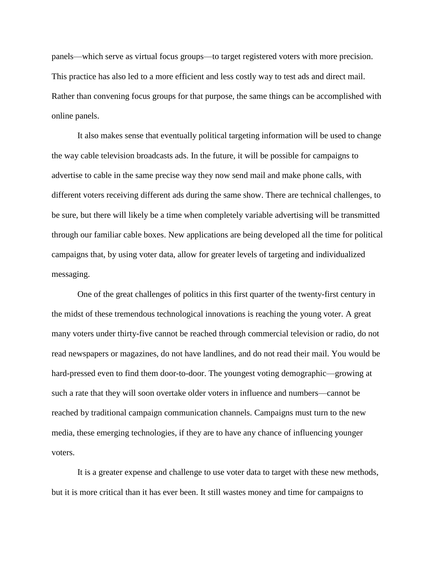panels—which serve as virtual focus groups—to target registered voters with more precision. This practice has also led to a more efficient and less costly way to test ads and direct mail. Rather than convening focus groups for that purpose, the same things can be accomplished with online panels.

It also makes sense that eventually political targeting information will be used to change the way cable television broadcasts ads. In the future, it will be possible for campaigns to advertise to cable in the same precise way they now send mail and make phone calls, with different voters receiving different ads during the same show. There are technical challenges, to be sure, but there will likely be a time when completely variable advertising will be transmitted through our familiar cable boxes. New applications are being developed all the time for political campaigns that, by using voter data, allow for greater levels of targeting and individualized messaging.

One of the great challenges of politics in this first quarter of the twenty-first century in the midst of these tremendous technological innovations is reaching the young voter. A great many voters under thirty-five cannot be reached through commercial television or radio, do not read newspapers or magazines, do not have landlines, and do not read their mail. You would be hard-pressed even to find them door-to-door. The youngest voting demographic—growing at such a rate that they will soon overtake older voters in influence and numbers—cannot be reached by traditional campaign communication channels. Campaigns must turn to the new media, these emerging technologies, if they are to have any chance of influencing younger voters.

It is a greater expense and challenge to use voter data to target with these new methods, but it is more critical than it has ever been. It still wastes money and time for campaigns to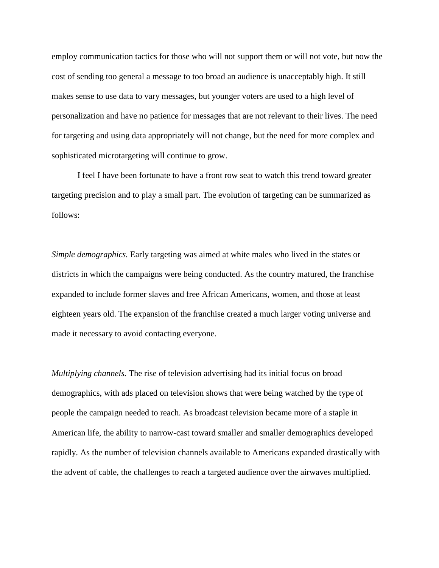employ communication tactics for those who will not support them or will not vote, but now the cost of sending too general a message to too broad an audience is unacceptably high. It still makes sense to use data to vary messages, but younger voters are used to a high level of personalization and have no patience for messages that are not relevant to their lives. The need for targeting and using data appropriately will not change, but the need for more complex and sophisticated microtargeting will continue to grow.

I feel I have been fortunate to have a front row seat to watch this trend toward greater targeting precision and to play a small part. The evolution of targeting can be summarized as follows:

*Simple demographics.* Early targeting was aimed at white males who lived in the states or districts in which the campaigns were being conducted. As the country matured, the franchise expanded to include former slaves and free African Americans, women, and those at least eighteen years old. The expansion of the franchise created a much larger voting universe and made it necessary to avoid contacting everyone.

*Multiplying channels.* The rise of television advertising had its initial focus on broad demographics, with ads placed on television shows that were being watched by the type of people the campaign needed to reach. As broadcast television became more of a staple in American life, the ability to narrow-cast toward smaller and smaller demographics developed rapidly. As the number of television channels available to Americans expanded drastically with the advent of cable, the challenges to reach a targeted audience over the airwaves multiplied.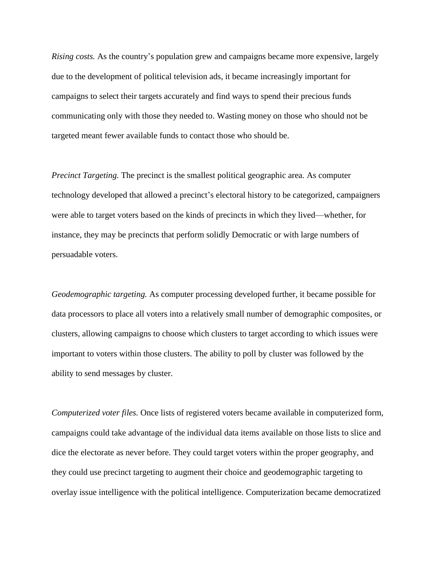*Rising costs.* As the country's population grew and campaigns became more expensive, largely due to the development of political television ads, it became increasingly important for campaigns to select their targets accurately and find ways to spend their precious funds communicating only with those they needed to. Wasting money on those who should not be targeted meant fewer available funds to contact those who should be.

*Precinct Targeting.* The precinct is the smallest political geographic area. As computer technology developed that allowed a precinct's electoral history to be categorized, campaigners were able to target voters based on the kinds of precincts in which they lived—whether, for instance, they may be precincts that perform solidly Democratic or with large numbers of persuadable voters.

*Geodemographic targeting.* As computer processing developed further, it became possible for data processors to place all voters into a relatively small number of demographic composites, or clusters, allowing campaigns to choose which clusters to target according to which issues were important to voters within those clusters. The ability to poll by cluster was followed by the ability to send messages by cluster.

*Computerized voter files.* Once lists of registered voters became available in computerized form, campaigns could take advantage of the individual data items available on those lists to slice and dice the electorate as never before. They could target voters within the proper geography, and they could use precinct targeting to augment their choice and geodemographic targeting to overlay issue intelligence with the political intelligence. Computerization became democratized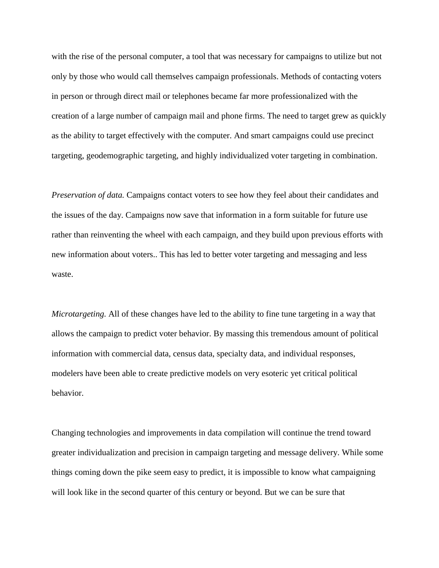with the rise of the personal computer, a tool that was necessary for campaigns to utilize but not only by those who would call themselves campaign professionals. Methods of contacting voters in person or through direct mail or telephones became far more professionalized with the creation of a large number of campaign mail and phone firms. The need to target grew as quickly as the ability to target effectively with the computer. And smart campaigns could use precinct targeting, geodemographic targeting, and highly individualized voter targeting in combination.

*Preservation of data.* Campaigns contact voters to see how they feel about their candidates and the issues of the day. Campaigns now save that information in a form suitable for future use rather than reinventing the wheel with each campaign, and they build upon previous efforts with new information about voters.. This has led to better voter targeting and messaging and less waste.

*Microtargeting.* All of these changes have led to the ability to fine tune targeting in a way that allows the campaign to predict voter behavior. By massing this tremendous amount of political information with commercial data, census data, specialty data, and individual responses, modelers have been able to create predictive models on very esoteric yet critical political behavior.

Changing technologies and improvements in data compilation will continue the trend toward greater individualization and precision in campaign targeting and message delivery. While some things coming down the pike seem easy to predict, it is impossible to know what campaigning will look like in the second quarter of this century or beyond. But we can be sure that